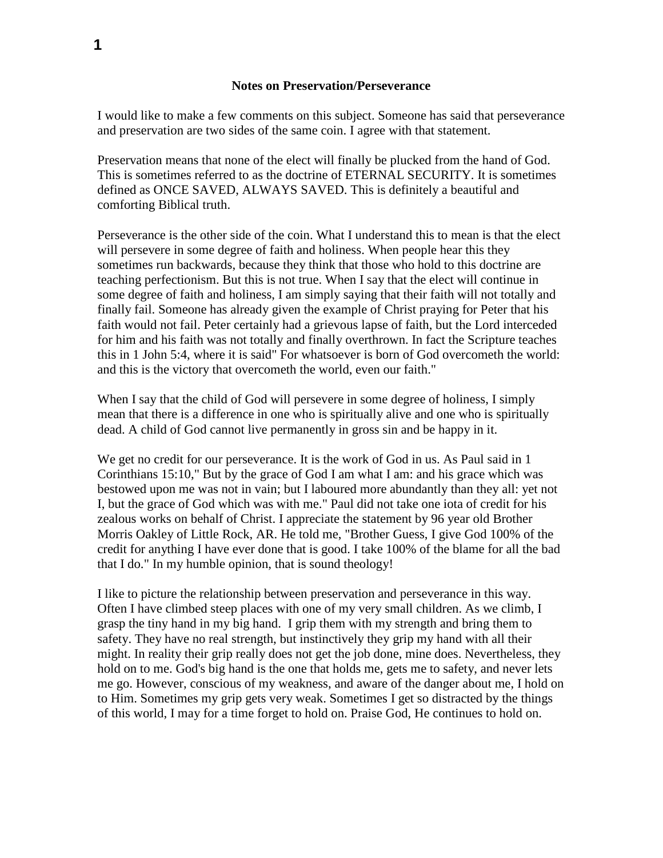## **Notes on Preservation/Perseverance**

I would like to make a few comments on this subject. Someone has said that perseverance and preservation are two sides of the same coin. I agree with that statement.

Preservation means that none of the elect will finally be plucked from the hand of God. This is sometimes referred to as the doctrine of ETERNAL SECURITY. It is sometimes defined as ONCE SAVED, ALWAYS SAVED. This is definitely a beautiful and comforting Biblical truth.

Perseverance is the other side of the coin. What I understand this to mean is that the elect will persevere in some degree of faith and holiness. When people hear this they sometimes run backwards, because they think that those who hold to this doctrine are teaching perfectionism. But this is not true. When I say that the elect will continue in some degree of faith and holiness, I am simply saying that their faith will not totally and finally fail. Someone has already given the example of Christ praying for Peter that his faith would not fail. Peter certainly had a grievous lapse of faith, but the Lord interceded for him and his faith was not totally and finally overthrown. In fact the Scripture teaches this in 1 John 5:4, where it is said" For whatsoever is born of God overcometh the world: and this is the victory that overcometh the world, even our faith."

When I say that the child of God will persevere in some degree of holiness, I simply mean that there is a difference in one who is spiritually alive and one who is spiritually dead. A child of God cannot live permanently in gross sin and be happy in it.

We get no credit for our perseverance. It is the work of God in us. As Paul said in 1 Corinthians 15:10," But by the grace of God I am what I am: and his grace which was bestowed upon me was not in vain; but I laboured more abundantly than they all: yet not I, but the grace of God which was with me." Paul did not take one iota of credit for his zealous works on behalf of Christ. I appreciate the statement by 96 year old Brother Morris Oakley of Little Rock, AR. He told me, "Brother Guess, I give God 100% of the credit for anything I have ever done that is good. I take 100% of the blame for all the bad that I do." In my humble opinion, that is sound theology!

I like to picture the relationship between preservation and perseverance in this way. Often I have climbed steep places with one of my very small children. As we climb, I grasp the tiny hand in my big hand. I grip them with my strength and bring them to safety. They have no real strength, but instinctively they grip my hand with all their might. In reality their grip really does not get the job done, mine does. Nevertheless, they hold on to me. God's big hand is the one that holds me, gets me to safety, and never lets me go. However, conscious of my weakness, and aware of the danger about me, I hold on to Him. Sometimes my grip gets very weak. Sometimes I get so distracted by the things of this world, I may for a time forget to hold on. Praise God, He continues to hold on.